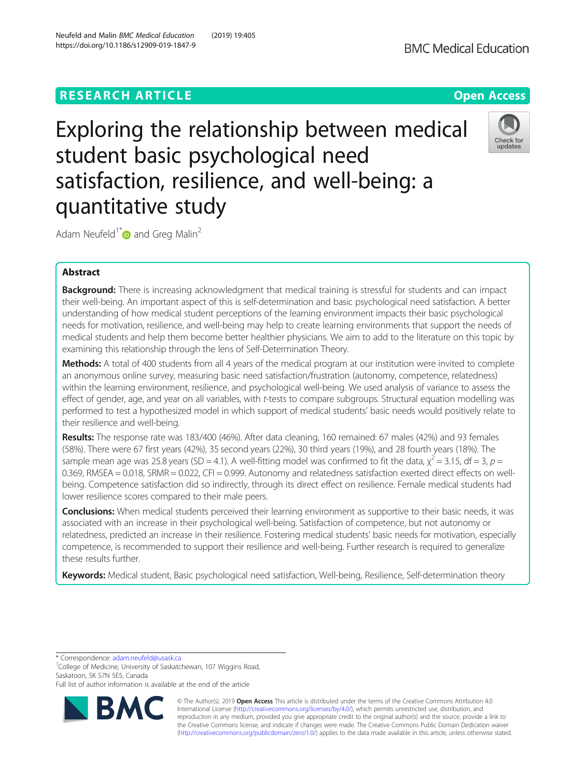# **RESEARCH ARTICLE Example 2018 12:30 The Contract of Contract Contract Open Access**

https://doi.org/10.1186/s12909-019-1847-9

# Exploring the relationship between medical student basic psychological need satisfaction, resilience, and well-being: a quantitative study

Adam Neufeld<sup>1[\\*](http://orcid.org/0000-0003-2848-8100)</sup> and Greg Malin<sup>2</sup>

# Abstract

Background: There is increasing acknowledgment that medical training is stressful for students and can impact their well-being. An important aspect of this is self-determination and basic psychological need satisfaction. A better understanding of how medical student perceptions of the learning environment impacts their basic psychological needs for motivation, resilience, and well-being may help to create learning environments that support the needs of medical students and help them become better healthier physicians. We aim to add to the literature on this topic by examining this relationship through the lens of Self-Determination Theory.

Methods: A total of 400 students from all 4 years of the medical program at our institution were invited to complete an anonymous online survey, measuring basic need satisfaction/frustration (autonomy, competence, relatedness) within the learning environment, resilience, and psychological well-being. We used analysis of variance to assess the effect of gender, age, and year on all variables, with t-tests to compare subgroups. Structural equation modelling was performed to test a hypothesized model in which support of medical students' basic needs would positively relate to their resilience and well-being.

Results: The response rate was 183/400 (46%). After data cleaning, 160 remained: 67 males (42%) and 93 females (58%). There were 67 first years (42%), 35 second years (22%), 30 third years (19%), and 28 fourth years (18%). The sample mean age was 25.8 years (SD = 4.1). A well-fitting model was confirmed to fit the data,  $\chi^2$  = 3.15, df = 3, p = 0.369, RMSEA = 0.018, SRMR = 0.022, CFI = 0.999. Autonomy and relatedness satisfaction exerted direct effects on wellbeing. Competence satisfaction did so indirectly, through its direct effect on resilience. Female medical students had lower resilience scores compared to their male peers.

Conclusions: When medical students perceived their learning environment as supportive to their basic needs, it was associated with an increase in their psychological well-being. Satisfaction of competence, but not autonomy or relatedness, predicted an increase in their resilience. Fostering medical students' basic needs for motivation, especially competence, is recommended to support their resilience and well-being. Further research is required to generalize these results further.

Keywords: Medical student, Basic psychological need satisfaction, Well-being, Resilience, Self-determination theory

\* Correspondence: [adam.neufeld@usask.ca](mailto:adam.neufeld@usask.ca) <sup>1</sup>

<sup>1</sup>College of Medicine, University of Saskatchewan, 107 Wiggins Road, Saskatoon, SK S7N 5E5, Canada

Full list of author information is available at the end of the article







## Neufeld and Malin BMC Medical Education (2019) 19:405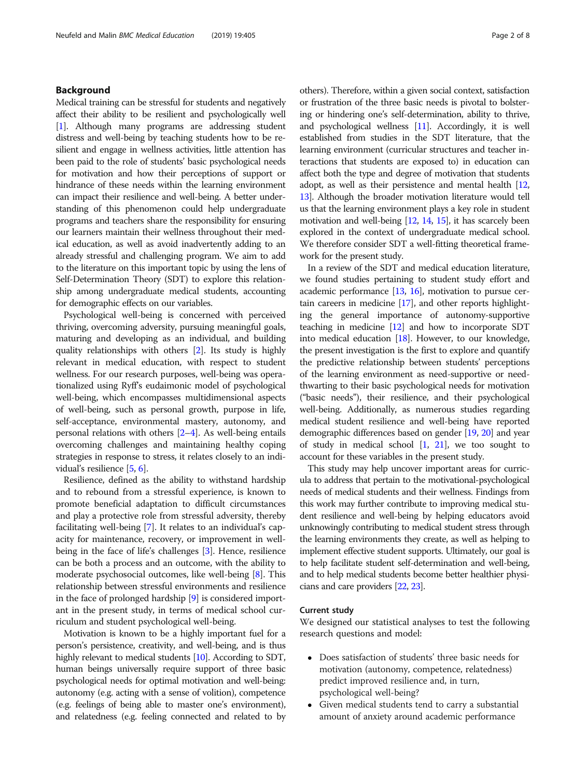#### Background

Medical training can be stressful for students and negatively affect their ability to be resilient and psychologically well [[1](#page-6-0)]. Although many programs are addressing student distress and well-being by teaching students how to be resilient and engage in wellness activities, little attention has been paid to the role of students' basic psychological needs for motivation and how their perceptions of support or hindrance of these needs within the learning environment can impact their resilience and well-being. A better understanding of this phenomenon could help undergraduate programs and teachers share the responsibility for ensuring our learners maintain their wellness throughout their medical education, as well as avoid inadvertently adding to an already stressful and challenging program. We aim to add to the literature on this important topic by using the lens of Self-Determination Theory (SDT) to explore this relationship among undergraduate medical students, accounting for demographic effects on our variables.

Psychological well-being is concerned with perceived thriving, overcoming adversity, pursuing meaningful goals, maturing and developing as an individual, and building quality relationships with others [\[2\]](#page-6-0). Its study is highly relevant in medical education, with respect to student wellness. For our research purposes, well-being was operationalized using Ryff's eudaimonic model of psychological well-being, which encompasses multidimensional aspects of well-being, such as personal growth, purpose in life, self-acceptance, environmental mastery, autonomy, and personal relations with others [\[2](#page-6-0)–[4](#page-6-0)]. As well-being entails overcoming challenges and maintaining healthy coping strategies in response to stress, it relates closely to an individual's resilience [\[5](#page-6-0), [6\]](#page-6-0).

Resilience, defined as the ability to withstand hardship and to rebound from a stressful experience, is known to promote beneficial adaptation to difficult circumstances and play a protective role from stressful adversity, thereby facilitating well-being [\[7\]](#page-6-0). It relates to an individual's capacity for maintenance, recovery, or improvement in wellbeing in the face of life's challenges [\[3](#page-6-0)]. Hence, resilience can be both a process and an outcome, with the ability to moderate psychosocial outcomes, like well-being [\[8](#page-6-0)]. This relationship between stressful environments and resilience in the face of prolonged hardship [[9](#page-6-0)] is considered important in the present study, in terms of medical school curriculum and student psychological well-being.

Motivation is known to be a highly important fuel for a person's persistence, creativity, and well-being, and is thus highly relevant to medical students [\[10\]](#page-6-0). According to SDT, human beings universally require support of three basic psychological needs for optimal motivation and well-being: autonomy (e.g. acting with a sense of volition), competence (e.g. feelings of being able to master one's environment), and relatedness (e.g. feeling connected and related to by others). Therefore, within a given social context, satisfaction or frustration of the three basic needs is pivotal to bolstering or hindering one's self-determination, ability to thrive, and psychological wellness [\[11\]](#page-6-0). Accordingly, it is well established from studies in the SDT literature, that the learning environment (curricular structures and teacher interactions that students are exposed to) in education can affect both the type and degree of motivation that students adopt, as well as their persistence and mental health [\[12](#page-6-0), [13](#page-6-0)]. Although the broader motivation literature would tell us that the learning environment plays a key role in student motivation and well-being [\[12,](#page-6-0) [14,](#page-6-0) [15](#page-6-0)], it has scarcely been explored in the context of undergraduate medical school. We therefore consider SDT a well-fitting theoretical framework for the present study.

In a review of the SDT and medical education literature, we found studies pertaining to student study effort and academic performance [[13](#page-6-0), [16](#page-6-0)], motivation to pursue certain careers in medicine [\[17\]](#page-6-0), and other reports highlighting the general importance of autonomy-supportive teaching in medicine [[12](#page-6-0)] and how to incorporate SDT into medical education [[18](#page-6-0)]. However, to our knowledge, the present investigation is the first to explore and quantify the predictive relationship between students' perceptions of the learning environment as need-supportive or needthwarting to their basic psychological needs for motivation ("basic needs"), their resilience, and their psychological well-being. Additionally, as numerous studies regarding medical student resilience and well-being have reported demographic differences based on gender [\[19,](#page-6-0) [20\]](#page-6-0) and year of study in medical school [[1](#page-6-0), [21\]](#page-6-0), we too sought to account for these variables in the present study.

This study may help uncover important areas for curricula to address that pertain to the motivational-psychological needs of medical students and their wellness. Findings from this work may further contribute to improving medical student resilience and well-being by helping educators avoid unknowingly contributing to medical student stress through the learning environments they create, as well as helping to implement effective student supports. Ultimately, our goal is to help facilitate student self-determination and well-being, and to help medical students become better healthier physicians and care providers [\[22](#page-6-0), [23](#page-6-0)].

#### Current study

We designed our statistical analyses to test the following research questions and model:

- Does satisfaction of students' three basic needs for motivation (autonomy, competence, relatedness) predict improved resilience and, in turn, psychological well-being?
- Given medical students tend to carry a substantial amount of anxiety around academic performance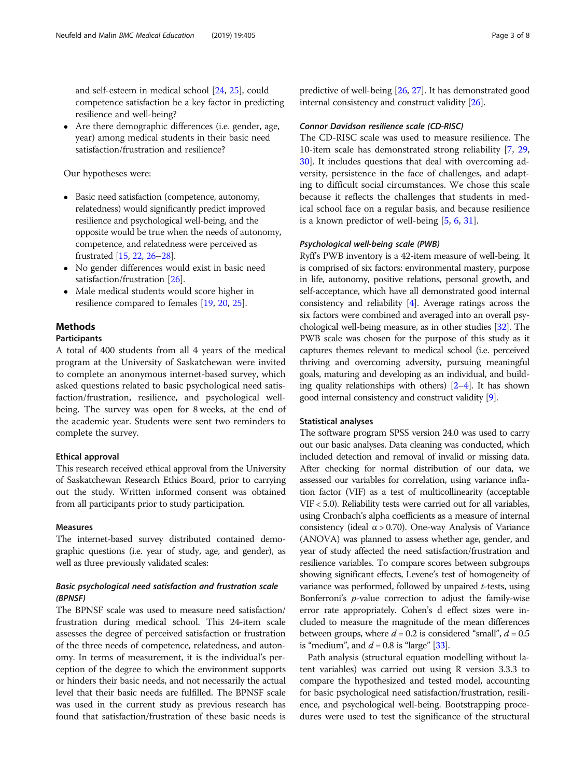<span id="page-2-0"></span>and self-esteem in medical school [[24](#page-6-0), [25\]](#page-6-0), could competence satisfaction be a key factor in predicting resilience and well-being?

• Are there demographic differences (i.e. gender, age, year) among medical students in their basic need satisfaction/frustration and resilience?

Our hypotheses were:

- Basic need satisfaction (competence, autonomy, relatedness) would significantly predict improved resilience and psychological well-being, and the opposite would be true when the needs of autonomy, competence, and relatedness were perceived as frustrated [[15,](#page-6-0) [22](#page-6-0), [26](#page-6-0)–[28\]](#page-6-0).
- No gender differences would exist in basic need satisfaction/frustration [\[26](#page-6-0)].
- Male medical students would score higher in resilience compared to females [[19,](#page-6-0) [20](#page-6-0), [25\]](#page-6-0).

### Methods

#### Participants

A total of 400 students from all 4 years of the medical program at the University of Saskatchewan were invited to complete an anonymous internet-based survey, which asked questions related to basic psychological need satisfaction/frustration, resilience, and psychological wellbeing. The survey was open for 8 weeks, at the end of the academic year. Students were sent two reminders to complete the survey.

#### Ethical approval

This research received ethical approval from the University of Saskatchewan Research Ethics Board, prior to carrying out the study. Written informed consent was obtained from all participants prior to study participation.

#### Measures

The internet-based survey distributed contained demographic questions (i.e. year of study, age, and gender), as well as three previously validated scales:

#### Basic psychological need satisfaction and frustration scale (BPNSF)

The BPNSF scale was used to measure need satisfaction/ frustration during medical school. This 24-item scale assesses the degree of perceived satisfaction or frustration of the three needs of competence, relatedness, and autonomy. In terms of measurement, it is the individual's perception of the degree to which the environment supports or hinders their basic needs, and not necessarily the actual level that their basic needs are fulfilled. The BPNSF scale was used in the current study as previous research has found that satisfaction/frustration of these basic needs is predictive of well-being [\[26,](#page-6-0) [27](#page-6-0)]. It has demonstrated good internal consistency and construct validity [[26](#page-6-0)].

#### Connor Davidson resilience scale (CD-RISC)

The CD-RISC scale was used to measure resilience. The 10-item scale has demonstrated strong reliability [[7,](#page-6-0) [29](#page-6-0), [30\]](#page-6-0). It includes questions that deal with overcoming adversity, persistence in the face of challenges, and adapting to difficult social circumstances. We chose this scale because it reflects the challenges that students in medical school face on a regular basis, and because resilience is a known predictor of well-being [[5](#page-6-0), [6](#page-6-0), [31](#page-6-0)].

#### Psychological well-being scale (PWB)

Ryff's PWB inventory is a 42-item measure of well-being. It is comprised of six factors: environmental mastery, purpose in life, autonomy, positive relations, personal growth, and self-acceptance, which have all demonstrated good internal consistency and reliability [\[4](#page-6-0)]. Average ratings across the six factors were combined and averaged into an overall psychological well-being measure, as in other studies [\[32\]](#page-6-0). The PWB scale was chosen for the purpose of this study as it captures themes relevant to medical school (i.e. perceived thriving and overcoming adversity, pursuing meaningful goals, maturing and developing as an individual, and building quality relationships with others) [\[2](#page-6-0)–[4](#page-6-0)]. It has shown good internal consistency and construct validity [[9\]](#page-6-0).

#### Statistical analyses

The software program SPSS version 24.0 was used to carry out our basic analyses. Data cleaning was conducted, which included detection and removal of invalid or missing data. After checking for normal distribution of our data, we assessed our variables for correlation, using variance inflation factor (VIF) as a test of multicollinearity (acceptable VIF < 5.0). Reliability tests were carried out for all variables, using Cronbach's alpha coefficients as a measure of internal consistency (ideal  $\alpha$  > 0.70). One-way Analysis of Variance (ANOVA) was planned to assess whether age, gender, and year of study affected the need satisfaction/frustration and resilience variables. To compare scores between subgroups showing significant effects, Levene's test of homogeneity of variance was performed, followed by unpaired t-tests, using Bonferroni's p-value correction to adjust the family-wise error rate appropriately. Cohen's d effect sizes were included to measure the magnitude of the mean differences between groups, where  $d = 0.2$  is considered "small",  $d = 0.5$ is "medium", and  $d = 0.8$  is "large" [\[33](#page-6-0)].

Path analysis (structural equation modelling without latent variables) was carried out using R version 3.3.3 to compare the hypothesized and tested model, accounting for basic psychological need satisfaction/frustration, resilience, and psychological well-being. Bootstrapping procedures were used to test the significance of the structural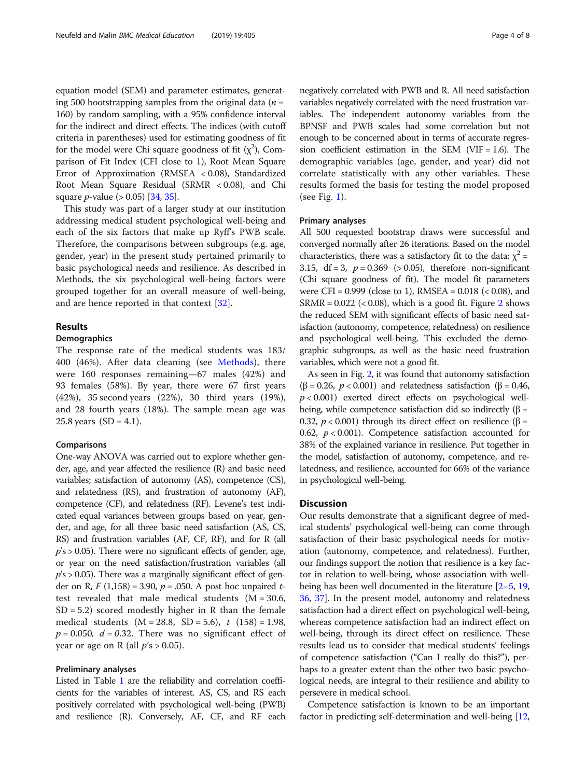equation model (SEM) and parameter estimates, generating 500 bootstrapping samples from the original data ( $n =$ 160) by random sampling, with a 95% confidence interval for the indirect and direct effects. The indices (with cutoff criteria in parentheses) used for estimating goodness of fit for the model were Chi square goodness of fit  $(\chi^2)$ , Comparison of Fit Index (CFI close to 1), Root Mean Square Error of Approximation (RMSEA < 0.08), Standardized Root Mean Square Residual (SRMR < 0.08), and Chi square *p*-value ( $> 0.05$ ) [\[34,](#page-6-0) [35\]](#page-7-0).

This study was part of a larger study at our institution addressing medical student psychological well-being and each of the six factors that make up Ryff's PWB scale. Therefore, the comparisons between subgroups (e.g. age, gender, year) in the present study pertained primarily to basic psychological needs and resilience. As described in Methods, the six psychological well-being factors were grouped together for an overall measure of well-being, and are hence reported in that context [\[32](#page-6-0)].

#### Results

#### Demographics

The response rate of the medical students was 183/ 400 (46%). After data cleaning (see [Methods](#page-2-0)), there were 160 responses remaining—67 males (42%) and 93 females (58%). By year, there were 67 first years (42%), 35 second years (22%), 30 third years (19%), and 28 fourth years (18%). The sample mean age was 25.8 years  $(SD = 4.1)$ .

#### Comparisons

One-way ANOVA was carried out to explore whether gender, age, and year affected the resilience (R) and basic need variables; satisfaction of autonomy (AS), competence (CS), and relatedness (RS), and frustration of autonomy (AF), competence (CF), and relatedness (RF). Levene's test indicated equal variances between groups based on year, gender, and age, for all three basic need satisfaction (AS, CS, RS) and frustration variables (AF, CF, RF), and for R (all  $p's > 0.05$ ). There were no significant effects of gender, age, or year on the need satisfaction/frustration variables (all  $p's > 0.05$ ). There was a marginally significant effect of gender on R,  $F(1,158) = 3.90$ ,  $p = .050$ . A post hoc unpaired ttest revealed that male medical students  $(M = 30.6,$  $SD = 5.2$ ) scored modestly higher in R than the female medical students  $(M = 28.8, SD = 5.6)$ ,  $t(158) = 1.98$ ,  $p = 0.050$ ,  $d = 0.32$ . There was no significant effect of year or age on R (all  $p's > 0.05$ ).

#### Preliminary analyses

Listed in Table [1](#page-4-0) are the reliability and correlation coefficients for the variables of interest. AS, CS, and RS each positively correlated with psychological well-being (PWB) and resilience (R). Conversely, AF, CF, and RF each negatively correlated with PWB and R. All need satisfaction variables negatively correlated with the need frustration variables. The independent autonomy variables from the BPNSF and PWB scales had some correlation but not enough to be concerned about in terms of accurate regression coefficient estimation in the SEM (VIF =  $1.6$ ). The demographic variables (age, gender, and year) did not correlate statistically with any other variables. These results formed the basis for testing the model proposed (see Fig. [1\)](#page-4-0).

#### Primary analyses

All 500 requested bootstrap draws were successful and converged normally after 26 iterations. Based on the model characteristics, there was a satisfactory fit to the data:  $\chi^2$  = 3.15,  $df = 3$ ,  $p = 0.369$  (> 0.05), therefore non-significant (Chi square goodness of fit). The model fit parameters were CFI =  $0.999$  (close to 1), RMSEA =  $0.018$  (<  $0.08$ ), and  $SRMR = 0.022$  $SRMR = 0.022$  $SRMR = 0.022$  (< 0.08), which is a good fit. Figure 2 shows the reduced SEM with significant effects of basic need satisfaction (autonomy, competence, relatedness) on resilience and psychological well-being. This excluded the demographic subgroups, as well as the basic need frustration variables, which were not a good fit.

As seen in Fig. [2,](#page-5-0) it was found that autonomy satisfaction ( $\beta$  = 0.26,  $p < 0.001$ ) and relatedness satisfaction ( $\beta$  = 0.46,  $p < 0.001$ ) exerted direct effects on psychological wellbeing, while competence satisfaction did so indirectly  $(β =$ 0.32,  $p < 0.001$ ) through its direct effect on resilience (β = 0.62,  $p < 0.001$ ). Competence satisfaction accounted for 38% of the explained variance in resilience. Put together in the model, satisfaction of autonomy, competence, and relatedness, and resilience, accounted for 66% of the variance in psychological well-being.

#### **Discussion**

Our results demonstrate that a significant degree of medical students' psychological well-being can come through satisfaction of their basic psychological needs for motivation (autonomy, competence, and relatedness). Further, our findings support the notion that resilience is a key factor in relation to well-being, whose association with wellbeing has been well documented in the literature [\[2](#page-6-0)–[5,](#page-6-0) [19](#page-6-0), [36](#page-7-0), [37\]](#page-7-0). In the present model, autonomy and relatedness satisfaction had a direct effect on psychological well-being, whereas competence satisfaction had an indirect effect on well-being, through its direct effect on resilience. These results lead us to consider that medical students' feelings of competence satisfaction ("Can I really do this?"), perhaps to a greater extent than the other two basic psychological needs, are integral to their resilience and ability to persevere in medical school.

Competence satisfaction is known to be an important factor in predicting self-determination and well-being [[12](#page-6-0),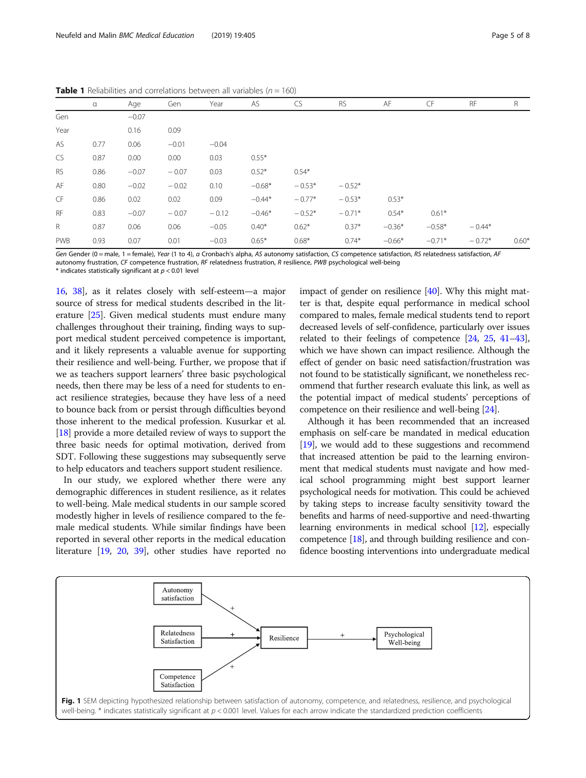|             | $\alpha$ | Age     | Gen     | Year    | AS       | <b>CS</b> | <b>RS</b> | AF       | <b>CF</b> | <b>RF</b> | R       |
|-------------|----------|---------|---------|---------|----------|-----------|-----------|----------|-----------|-----------|---------|
| Gen         |          | $-0.07$ |         |         |          |           |           |          |           |           |         |
| Year        |          | 0.16    | 0.09    |         |          |           |           |          |           |           |         |
| AS          | 0.77     | 0.06    | $-0.01$ | $-0.04$ |          |           |           |          |           |           |         |
| <b>CS</b>   | 0.87     | 0.00    | 0.00    | 0.03    | $0.55*$  |           |           |          |           |           |         |
| RS          | 0.86     | $-0.07$ | $-0.07$ | 0.03    | $0.52*$  | $0.54*$   |           |          |           |           |         |
| AF          | 0.80     | $-0.02$ | $-0.02$ | 0.10    | $-0.68*$ | $-0.53*$  | $-0.52*$  |          |           |           |         |
| CF          | 0.86     | 0.02    | 0.02    | 0.09    | $-0.44*$ | $-0.77*$  | $-0.53*$  | $0.53*$  |           |           |         |
| <b>RF</b>   | 0.83     | $-0.07$ | $-0.07$ | $-0.12$ | $-0.46*$ | $-0.52*$  | $-0.71*$  | $0.54*$  | $0.61*$   |           |         |
| $\mathsf R$ | 0.87     | 0.06    | 0.06    | $-0.05$ | $0.40*$  | $0.62*$   | $0.37*$   | $-0.36*$ | $-0.58*$  | $-0.44*$  |         |
| <b>PWB</b>  | 0.93     | 0.07    | 0.01    | $-0.03$ | $0.65*$  | $0.68*$   | $0.74*$   | $-0.66*$ | $-0.71*$  | $-0.72*$  | $0.60*$ |

<span id="page-4-0"></span>**Table 1** Reliabilities and correlations between all variables ( $n = 160$ )

Gen Gender (0 = male, 1 = female), Year (1 to 4), α Cronbach's alpha, AS autonomy satisfaction, CS competence satisfaction, RS relatedness satisfaction, AF autonomy frustration, CF competence frustration, RF relatedness frustration, R resilience, PWB psychological well-being  $*$  indicates statistically significant at  $p < 0.01$  level

[16](#page-6-0), [38](#page-7-0)], as it relates closely with self-esteem—a major source of stress for medical students described in the literature [\[25\]](#page-6-0). Given medical students must endure many challenges throughout their training, finding ways to support medical student perceived competence is important, and it likely represents a valuable avenue for supporting their resilience and well-being. Further, we propose that if we as teachers support learners' three basic psychological needs, then there may be less of a need for students to enact resilience strategies, because they have less of a need to bounce back from or persist through difficulties beyond those inherent to the medical profession. Kusurkar et al. [[18](#page-6-0)] provide a more detailed review of ways to support the three basic needs for optimal motivation, derived from SDT. Following these suggestions may subsequently serve to help educators and teachers support student resilience.

In our study, we explored whether there were any demographic differences in student resilience, as it relates to well-being. Male medical students in our sample scored modestly higher in levels of resilience compared to the female medical students. While similar findings have been reported in several other reports in the medical education literature [[19](#page-6-0), [20,](#page-6-0) [39\]](#page-7-0), other studies have reported no impact of gender on resilience [\[40](#page-7-0)]. Why this might matter is that, despite equal performance in medical school compared to males, female medical students tend to report decreased levels of self-confidence, particularly over issues related to their feelings of competence [[24](#page-6-0), [25,](#page-6-0) [41](#page-7-0)–[43](#page-7-0)], which we have shown can impact resilience. Although the effect of gender on basic need satisfaction/frustration was not found to be statistically significant, we nonetheless recommend that further research evaluate this link, as well as the potential impact of medical students' perceptions of competence on their resilience and well-being [[24](#page-6-0)].

Although it has been recommended that an increased emphasis on self-care be mandated in medical education [[19](#page-6-0)], we would add to these suggestions and recommend that increased attention be paid to the learning environment that medical students must navigate and how medical school programming might best support learner psychological needs for motivation. This could be achieved by taking steps to increase faculty sensitivity toward the benefits and harms of need-supportive and need-thwarting learning environments in medical school [\[12](#page-6-0)], especially competence [\[18\]](#page-6-0), and through building resilience and confidence boosting interventions into undergraduate medical

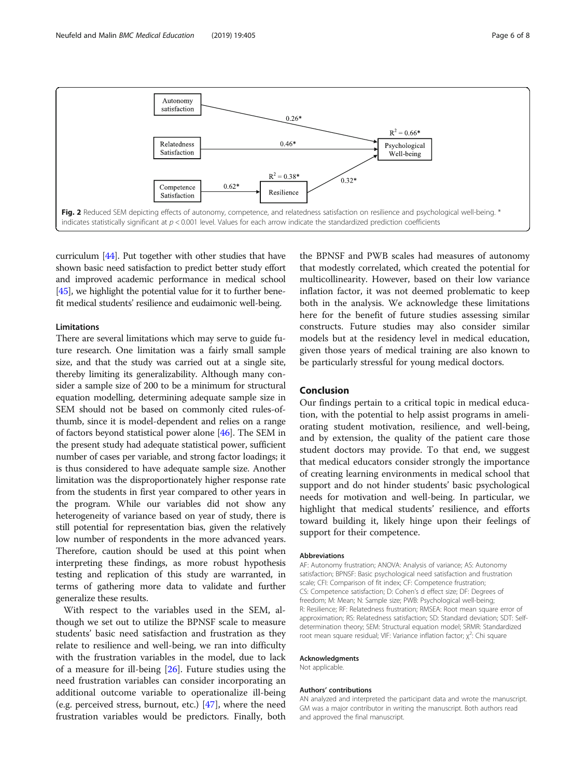<span id="page-5-0"></span>

curriculum [\[44\]](#page-7-0). Put together with other studies that have shown basic need satisfaction to predict better study effort and improved academic performance in medical school [[45](#page-7-0)], we highlight the potential value for it to further benefit medical students' resilience and eudaimonic well-being.

#### Limitations

There are several limitations which may serve to guide future research. One limitation was a fairly small sample size, and that the study was carried out at a single site, thereby limiting its generalizability. Although many consider a sample size of 200 to be a minimum for structural equation modelling, determining adequate sample size in SEM should not be based on commonly cited rules-ofthumb, since it is model-dependent and relies on a range of factors beyond statistical power alone [[46\]](#page-7-0). The SEM in the present study had adequate statistical power, sufficient number of cases per variable, and strong factor loadings; it is thus considered to have adequate sample size. Another limitation was the disproportionately higher response rate from the students in first year compared to other years in the program. While our variables did not show any heterogeneity of variance based on year of study, there is still potential for representation bias, given the relatively low number of respondents in the more advanced years. Therefore, caution should be used at this point when interpreting these findings, as more robust hypothesis testing and replication of this study are warranted, in terms of gathering more data to validate and further generalize these results.

With respect to the variables used in the SEM, although we set out to utilize the BPNSF scale to measure students' basic need satisfaction and frustration as they relate to resilience and well-being, we ran into difficulty with the frustration variables in the model, due to lack of a measure for ill-being [\[26](#page-6-0)]. Future studies using the need frustration variables can consider incorporating an additional outcome variable to operationalize ill-being (e.g. perceived stress, burnout, etc.) [[47\]](#page-7-0), where the need frustration variables would be predictors. Finally, both

the BPNSF and PWB scales had measures of autonomy that modestly correlated, which created the potential for multicollinearity. However, based on their low variance inflation factor, it was not deemed problematic to keep both in the analysis. We acknowledge these limitations here for the benefit of future studies assessing similar constructs. Future studies may also consider similar models but at the residency level in medical education, given those years of medical training are also known to be particularly stressful for young medical doctors.

#### Conclusion

Our findings pertain to a critical topic in medical education, with the potential to help assist programs in ameliorating student motivation, resilience, and well-being, and by extension, the quality of the patient care those student doctors may provide. To that end, we suggest that medical educators consider strongly the importance of creating learning environments in medical school that support and do not hinder students' basic psychological needs for motivation and well-being. In particular, we highlight that medical students' resilience, and efforts toward building it, likely hinge upon their feelings of support for their competence.

#### **Abbreviations**

AF: Autonomy frustration; ANOVA: Analysis of variance; AS: Autonomy satisfaction; BPNSF: Basic psychological need satisfaction and frustration scale; CFI: Comparison of fit index; CF: Competence frustration; CS: Competence satisfaction; D: Cohen's d effect size; DF: Degrees of freedom; M: Mean; N: Sample size; PWB: Psychological well-being; R: Resilience; RF: Relatedness frustration; RMSEA: Root mean square error of approximation; RS: Relatedness satisfaction; SD: Standard deviation; SDT: Selfdetermination theory; SEM: Structural equation model; SRMR: Standardized root mean square residual; VIF: Variance inflation factor;  $\chi^2$ : Chi square

#### Acknowledgments

Not applicable.

#### Authors' contributions

AN analyzed and interpreted the participant data and wrote the manuscript. GM was a major contributor in writing the manuscript. Both authors read and approved the final manuscript.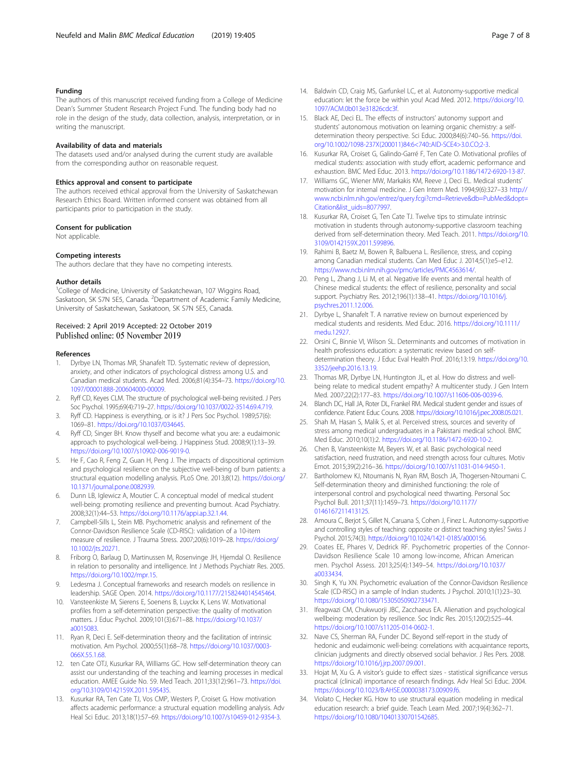#### <span id="page-6-0"></span>Funding

The authors of this manuscript received funding from a College of Medicine Dean's Summer Student Research Project Fund. The funding body had no role in the design of the study, data collection, analysis, interpretation, or in writing the manuscript.

#### Availability of data and materials

The datasets used and/or analysed during the current study are available from the corresponding author on reasonable request.

#### Ethics approval and consent to participate

The authors received ethical approval from the University of Saskatchewan Research Ethics Board. Written informed consent was obtained from all participants prior to participation in the study.

#### Consent for publication

Not applicable.

#### Competing interests

The authors declare that they have no competing interests.

#### Author details

<sup>1</sup>College of Medicine, University of Saskatchewan, 107 Wiggins Road, Saskatoon, SK S7N 5E5, Canada. <sup>2</sup>Department of Academic Family Medicine, University of Saskatchewan, Saskatoon, SK S7N 5E5, Canada.

#### Received: 2 April 2019 Accepted: 22 October 2019 Published online: 05 November 2019

#### References

- Dyrbye LN, Thomas MR, Shanafelt TD. Systematic review of depression, anxiety, and other indicators of psychological distress among U.S. and Canadian medical students. Acad Med. 2006;81(4):354–73. [https://doi.org/10.](https://doi.org/10.1097/00001888-200604000-00009) [1097/00001888-200604000-00009](https://doi.org/10.1097/00001888-200604000-00009).
- 2. Ryff CD, Keyes CLM. The structure of psychological well-being revisited. J Pers Soc Psychol. 1995;69(4):719–27. <https://doi.org/10.1037/0022-3514.69.4.719>.
- 3. Ryff CD. Happiness is everything, or is it? J Pers Soc Psychol. 1989;57(6): 1069–81. [https://doi.org/10.1037/034645.](https://doi.org/10.1037/034645)
- 4. Ryff CD, Singer BH. Know thyself and become what you are: a eudaimonic approach to psychological well-being. J Happiness Stud. 2008;9(1):13–39. <https://doi.org/10.1007/s10902-006-9019-0>.
- 5. He F, Cao R, Feng Z, Guan H, Peng J. The impacts of dispositional optimism and psychological resilience on the subjective well-being of burn patients: a structural equation modelling analysis. PLoS One. 2013;8(12). [https://doi.org/](https://doi.org/10.1371/journal.pone.0082939) [10.1371/journal.pone.0082939](https://doi.org/10.1371/journal.pone.0082939).
- 6. Dunn LB, Iglewicz A, Moutier C. A conceptual model of medical student well-being: promoting resilience and preventing burnout. Acad Psychiatry. 2008;32(1):44–53. [https://doi.org/10.1176/appi.ap.32.1.44.](https://doi.org/10.1176/appi.ap.32.1.44)
- 7. Campbell-Sills L, Stein MB. Psychometric analysis and refinement of the Connor-Davidson Resilience Scale (CD-RISC): validation of a 10-item measure of resilience. J Trauma Stress. 2007;20(6):1019–28. [https://doi.org/](https://doi.org/10.1002/jts.20271) [10.1002/jts.20271](https://doi.org/10.1002/jts.20271).
- 8. Friborg O, Barlaug D, Martinussen M, Rosenvinge JH, Hjemdal O. Resilience in relation to personality and intelligence. Int J Methods Psychiatr Res. 2005. [https://doi.org/10.1002/mpr.15.](https://doi.org/10.1002/mpr.15)
- 9. Ledesma J. Conceptual frameworks and research models on resilience in leadership. SAGE Open. 2014. <https://doi.org/10.1177/2158244014545464>.
- 10. Vansteenkiste M, Sierens E, Soenens B, Luyckx K, Lens W. Motivational profiles from a self-determination perspective: the quality of motivation matters. J Educ Psychol. 2009;101(3):671–88. [https://doi.org/10.1037/](https://doi.org/10.1037/a0015083) [a0015083.](https://doi.org/10.1037/a0015083)
- 11. Ryan R, Deci E. Self-determination theory and the facilitation of intrinsic motivation. Am Psychol. 2000;55(1):68–78. [https://doi.org/10.1037/0003-](https://doi.org/10.1037/0003-066X.55.1.68) [066X.55.1.68](https://doi.org/10.1037/0003-066X.55.1.68).
- 12. ten Cate OTJ, Kusurkar RA, Williams GC. How self-determination theory can assist our understanding of the teaching and learning processes in medical education. AMEE Guide No. 59. Med Teach. 2011;33(12):961–73. [https://doi.](https://doi.org/10.3109/0142159X.2011.595435) [org/10.3109/0142159X.2011.595435](https://doi.org/10.3109/0142159X.2011.595435).
- 13. Kusurkar RA, Ten Cate TJ, Vos CMP, Westers P, Croiset G. How motivation affects academic performance: a structural equation modelling analysis. Adv Heal Sci Educ. 2013;18(1):57–69. [https://doi.org/10.1007/s10459-012-9354-3.](https://doi.org/10.1007/s10459-012-9354-3)
- 14. Baldwin CD, Craig MS, Garfunkel LC, et al. Autonomy-supportive medical education: let the force be within you! Acad Med. 2012. [https://doi.org/10.](https://doi.org/10.1097/ACM.0b013e31826cdc3f) [1097/ACM.0b013e31826cdc3f.](https://doi.org/10.1097/ACM.0b013e31826cdc3f)
- 15. Black AE, Deci EL. The effects of instructors' autonomy support and students' autonomous motivation on learning organic chemistry: a selfdetermination theory perspective. Sci Educ. 2000;84(6):740–56. [https://doi.](https://doi.org/10.1002/1098-237X(200011)84:6<740::AID-SCE4>3.0.CO;2-3) [org/10.1002/1098-237X\(200011\)84:6<740::AID-SCE4>3.0.CO;2-3.](https://doi.org/10.1002/1098-237X(200011)84:6<740::AID-SCE4>3.0.CO;2-3)
- 16. Kusurkar RA, Croiset G, Galindo-Garré F, Ten Cate O. Motivational profiles of medical students: association with study effort, academic performance and exhaustion. BMC Med Educ. 2013. [https://doi.org/10.1186/1472-6920-13-87.](https://doi.org/10.1186/1472-6920-13-87)
- 17. Williams GC, Wiener MW, Markakis KM, Reeve J, Deci EL. Medical students' motivation for internal medicine. J Gen Intern Med. 1994;9(6):327–33 [http://](http://www.ncbi.nlm.nih.gov/entrez/query.fcgi?cmd=Retrieve&db=PubMed&dopt=Citation&list_uids=8077997) [www.ncbi.nlm.nih.gov/entrez/query.fcgi?cmd=Retrieve&db=PubMed&dopt=](http://www.ncbi.nlm.nih.gov/entrez/query.fcgi?cmd=Retrieve&db=PubMed&dopt=Citation&list_uids=8077997) [Citation&list\\_uids=8077997.](http://www.ncbi.nlm.nih.gov/entrez/query.fcgi?cmd=Retrieve&db=PubMed&dopt=Citation&list_uids=8077997)
- 18. Kusurkar RA, Croiset G, Ten Cate TJ. Twelve tips to stimulate intrinsic motivation in students through autonomy-supportive classroom teaching derived from self-determination theory. Med Teach. 2011. [https://doi.org/10.](https://doi.org/10.3109/0142159X.2011.599896) [3109/0142159X.2011.599896](https://doi.org/10.3109/0142159X.2011.599896).
- 19. Rahimi B, Baetz M, Bowen R, Balbuena L. Resilience, stress, and coping among Canadian medical students. Can Med Educ J. 2014;5(1):e5–e12. [https://www.ncbi.nlm.nih.gov/pmc/articles/PMC4563614/.](https://www.ncbi.nlm.nih.gov/pmc/articles/PMC4563614/)
- 20. Peng L, Zhang J, Li M, et al. Negative life events and mental health of Chinese medical students: the effect of resilience, personality and social support. Psychiatry Res. 2012;196(1):138–41. [https://doi.org/10.1016/j.](https://doi.org/10.1016/j.psychres.2011.12.006) [psychres.2011.12.006.](https://doi.org/10.1016/j.psychres.2011.12.006)
- 21. Dyrbye L, Shanafelt T. A narrative review on burnout experienced by medical students and residents. Med Educ. 2016. [https://doi.org/10.1111/](https://doi.org/10.1111/medu.12927) [medu.12927.](https://doi.org/10.1111/medu.12927)
- 22. Orsini C, Binnie VI, Wilson SL. Determinants and outcomes of motivation in health professions education: a systematic review based on selfdetermination theory. J Educ Eval Health Prof. 2016;13:19. [https://doi.org/10.](https://doi.org/10.3352/jeehp.2016.13.19) [3352/jeehp.2016.13.19.](https://doi.org/10.3352/jeehp.2016.13.19)
- 23. Thomas MR, Dyrbye LN, Huntington JL, et al. How do distress and wellbeing relate to medical student empathy? A multicenter study. J Gen Intern Med. 2007;22(2):177–83. <https://doi.org/10.1007/s11606-006-0039-6>.
- 24. Blanch DC, Hall JA, Roter DL, Frankel RM. Medical student gender and issues of confidence. Patient Educ Couns. 2008. <https://doi.org/10.1016/j.pec.2008.05.021>.
- 25. Shah M, Hasan S, Malik S, et al. Perceived stress, sources and severity of stress among medical undergraduates in a Pakistani medical school. BMC Med Educ. 2010;10(1):2. [https://doi.org/10.1186/1472-6920-10-2.](https://doi.org/10.1186/1472-6920-10-2)
- 26. Chen B, Vansteenkiste M, Beyers W, et al. Basic psychological need satisfaction, need frustration, and need strength across four cultures. Motiv Emot. 2015;39(2):216–36. <https://doi.org/10.1007/s11031-014-9450-1>.
- 27. Bartholomew KJ, Ntoumanis N, Ryan RM, Bosch JA, Thogersen-Ntoumani C. Self-determination theory and diminished functioning: the role of interpersonal control and psychological need thwarting. Personal Soc Psychol Bull. 2011;37(11):1459–73. [https://doi.org/10.1177/](https://doi.org/10.1177/0146167211413125) [0146167211413125](https://doi.org/10.1177/0146167211413125).
- 28. Amoura C, Berjot S, Gillet N, Caruana S, Cohen J, Finez L. Autonomy-supportive and controlling styles of teaching: opposite or distinct teaching styles? Swiss J Psychol. 2015;74(3). <https://doi.org/10.1024/1421-0185/a000156>.
- 29. Coates EE, Phares V, Dedrick RF. Psychometric properties of the Connor-Davidson Resilience Scale 10 among low-income, African American men. Psychol Assess. 2013;25(4):1349–54. [https://doi.org/10.1037/](https://doi.org/10.1037/a0033434) [a0033434.](https://doi.org/10.1037/a0033434)
- 30. Singh K, Yu XN. Psychometric evaluation of the Connor-Davidson Resilience Scale (CD-RISC) in a sample of Indian students. J Psychol. 2010;1(1):23–30. [https://doi.org/10.1080/15305050902733471.](https://doi.org/10.1080/15305050902733471)
- 31. Ifeagwazi CM, Chukwuorji JBC, Zacchaeus EA. Alienation and psychological wellbeing: moderation by resilience. Soc Indic Res. 2015;120(2):525–44. <https://doi.org/10.1007/s11205-014-0602-1>.
- 32. Nave CS, Sherman RA, Funder DC. Beyond self-report in the study of hedonic and eudaimonic well-being: correlations with acquaintance reports, clinician judgments and directly observed social behavior. J Res Pers. 2008. <https://doi.org/10.1016/j.jrp.2007.09.001>.
- 33. Hojat M, Xu G. A visitor's guide to effect sizes statistical significance versus practical (clinical) importance of research findings. Adv Heal Sci Educ. 2004. [https://doi.org/10.1023/B:AHSE.0000038173.00909.f6.](https://doi.org/10.1023/B:AHSE.0000038173.00909.f6)
- 34. Violato C, Hecker KG. How to use structural equation modeling in medical education research: a brief guide. Teach Learn Med. 2007;19(4):362–71. [https://doi.org/10.1080/10401330701542685.](https://doi.org/10.1080/10401330701542685)